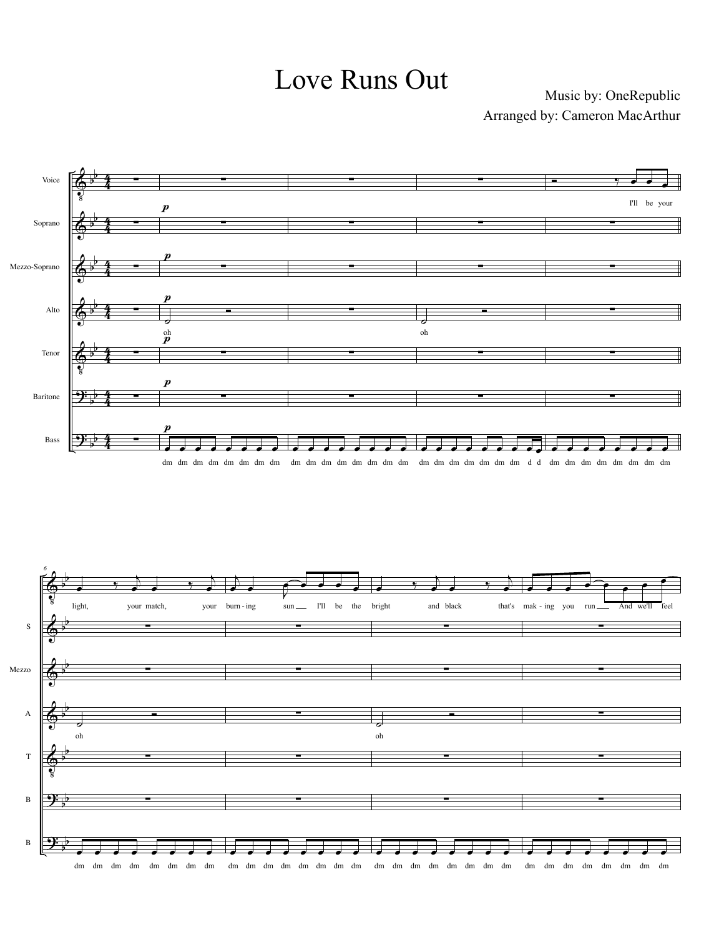Love Runs Out

## Music by: OneRepublic Arranged by: Cameron MacArthur



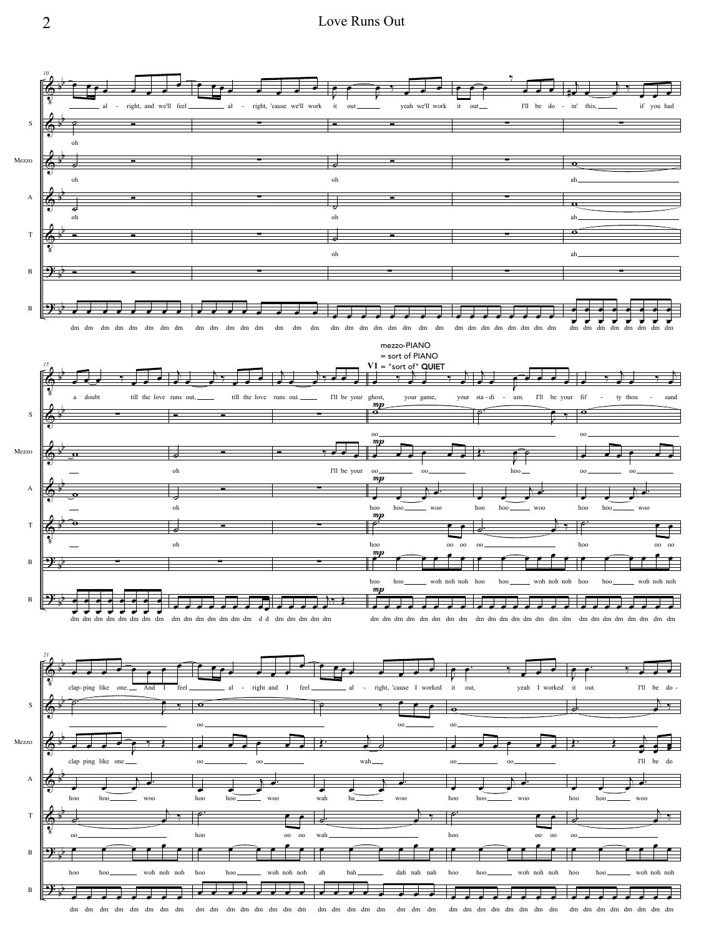2 Love Runs Out

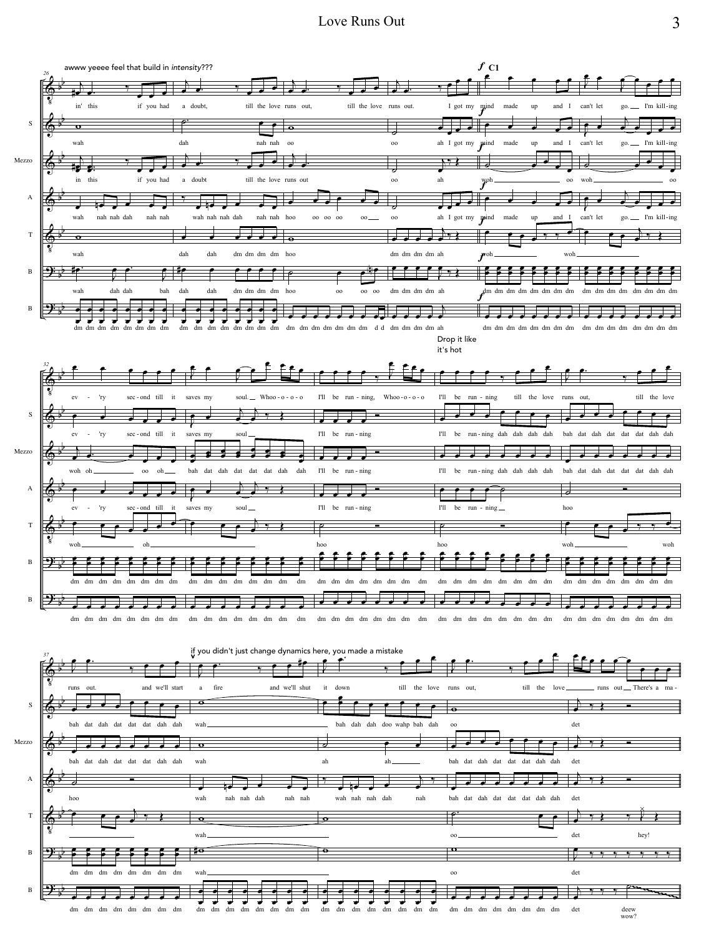Love Runs Out 3

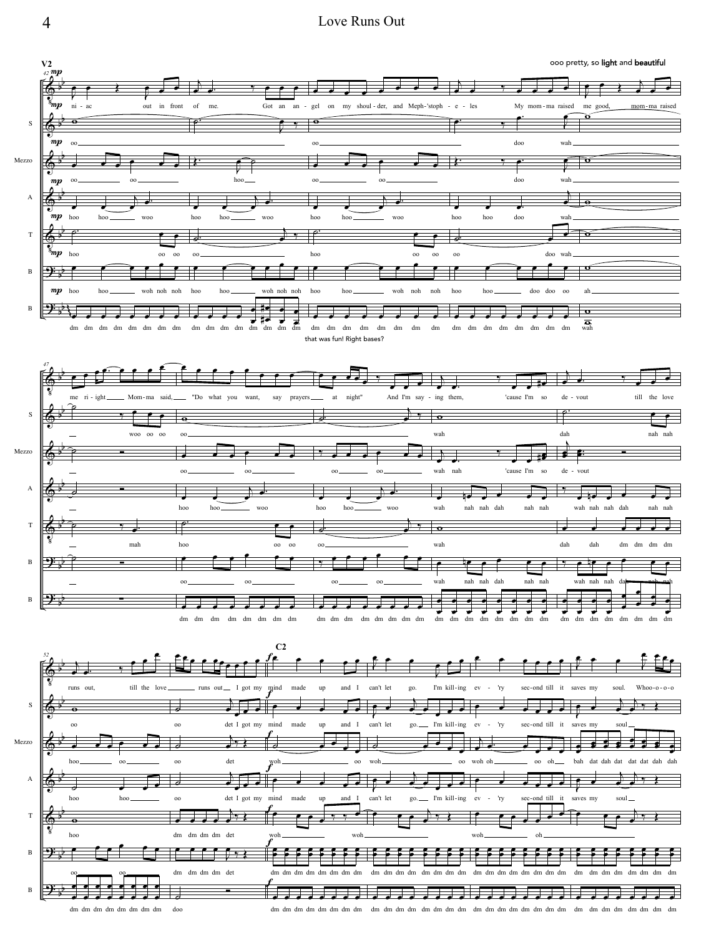4 Love Runs Out

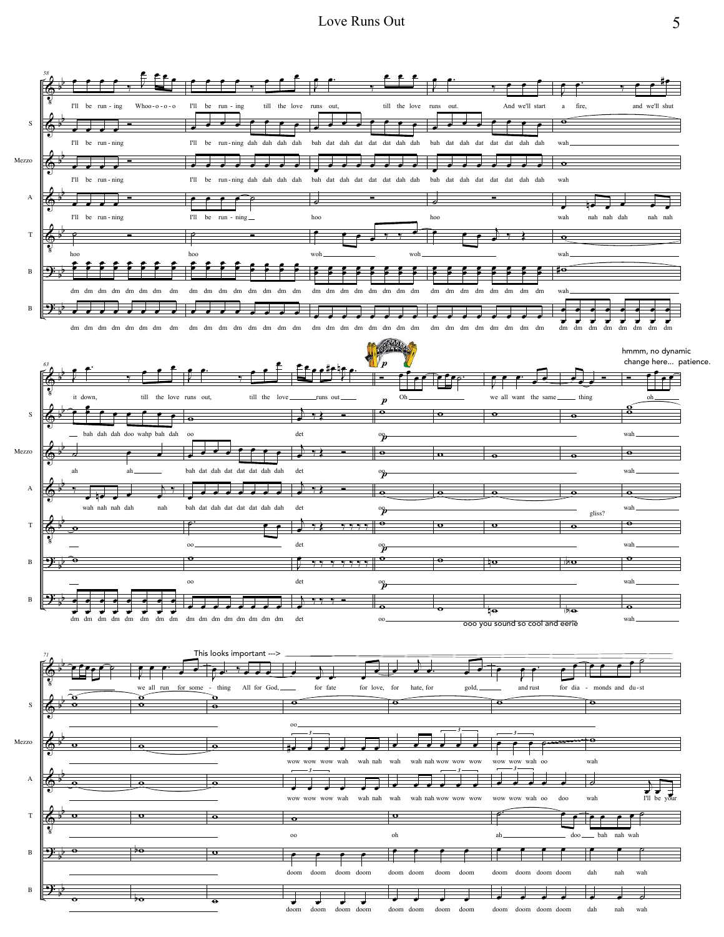Love Runs Out 5

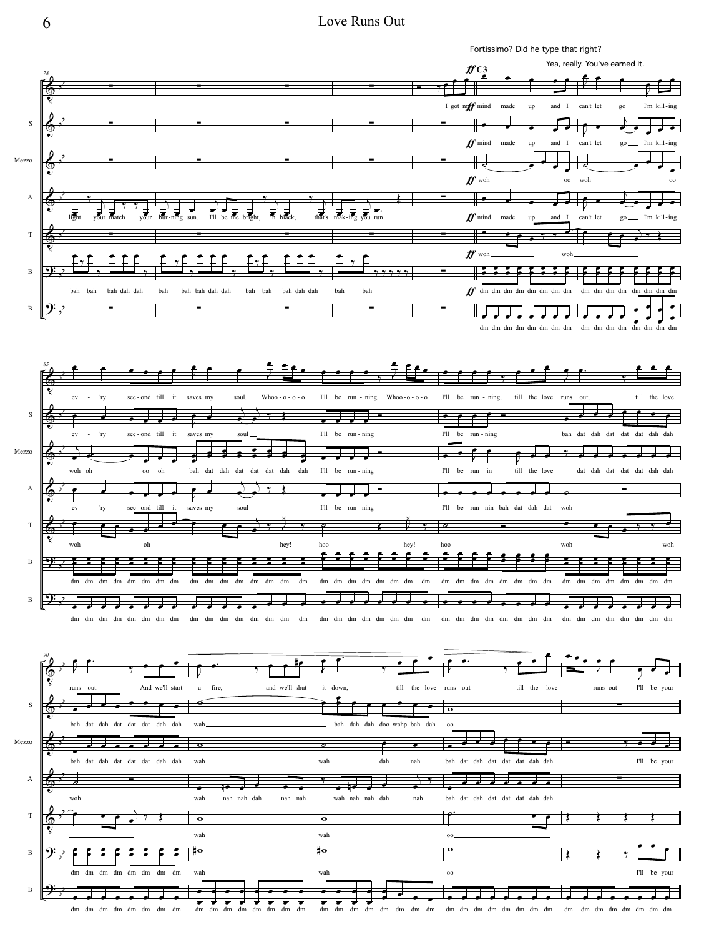## 6 Love Runs Out